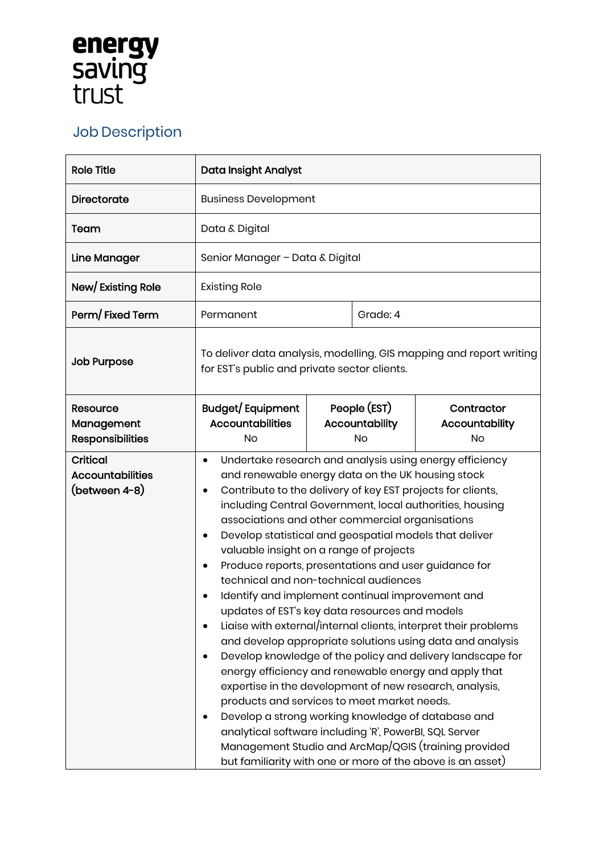## **energy<br>saving<br>trust**

## Job Description

| <b>Role Title</b>                                           | Data Insight Analyst                                                                                                                                                                                                                                                                                                                                                                                                                                                                                                                                                                                                                                                                                                                                                                                                                                                                                                                                                                                                                                                                                                                                                                                                                 |  |                                      |                                           |
|-------------------------------------------------------------|--------------------------------------------------------------------------------------------------------------------------------------------------------------------------------------------------------------------------------------------------------------------------------------------------------------------------------------------------------------------------------------------------------------------------------------------------------------------------------------------------------------------------------------------------------------------------------------------------------------------------------------------------------------------------------------------------------------------------------------------------------------------------------------------------------------------------------------------------------------------------------------------------------------------------------------------------------------------------------------------------------------------------------------------------------------------------------------------------------------------------------------------------------------------------------------------------------------------------------------|--|--------------------------------------|-------------------------------------------|
| Directorate                                                 | <b>Business Development</b>                                                                                                                                                                                                                                                                                                                                                                                                                                                                                                                                                                                                                                                                                                                                                                                                                                                                                                                                                                                                                                                                                                                                                                                                          |  |                                      |                                           |
| Team                                                        | Data & Digital                                                                                                                                                                                                                                                                                                                                                                                                                                                                                                                                                                                                                                                                                                                                                                                                                                                                                                                                                                                                                                                                                                                                                                                                                       |  |                                      |                                           |
| Line Manager                                                | Senior Manager - Data & Digital                                                                                                                                                                                                                                                                                                                                                                                                                                                                                                                                                                                                                                                                                                                                                                                                                                                                                                                                                                                                                                                                                                                                                                                                      |  |                                      |                                           |
| New/Existing Role                                           | <b>Existing Role</b>                                                                                                                                                                                                                                                                                                                                                                                                                                                                                                                                                                                                                                                                                                                                                                                                                                                                                                                                                                                                                                                                                                                                                                                                                 |  |                                      |                                           |
| Perm/Fixed Term                                             | Permanent                                                                                                                                                                                                                                                                                                                                                                                                                                                                                                                                                                                                                                                                                                                                                                                                                                                                                                                                                                                                                                                                                                                                                                                                                            |  | Grade: 4                             |                                           |
| <b>Job Purpose</b>                                          | To deliver data analysis, modelling, GIS mapping and report writing<br>for EST's public and private sector clients.                                                                                                                                                                                                                                                                                                                                                                                                                                                                                                                                                                                                                                                                                                                                                                                                                                                                                                                                                                                                                                                                                                                  |  |                                      |                                           |
| Resource<br>Management<br><b>Responsibilities</b>           | <b>Budget/Equipment</b><br><b>Accountabilities</b><br>No                                                                                                                                                                                                                                                                                                                                                                                                                                                                                                                                                                                                                                                                                                                                                                                                                                                                                                                                                                                                                                                                                                                                                                             |  | People (EST)<br>Accountability<br>No | Contractor<br>Accountability<br><b>No</b> |
| <b>Critical</b><br><b>Accountabilities</b><br>(between 4-8) | Undertake research and analysis using energy efficiency<br>٠<br>and renewable energy data on the UK housing stock<br>Contribute to the delivery of key EST projects for clients,<br>٠<br>including Central Government, local authorities, housing<br>associations and other commercial organisations<br>Develop statistical and geospatial models that deliver<br>$\bullet$<br>valuable insight on a range of projects<br>Produce reports, presentations and user guidance for<br>technical and non-technical audiences<br>Identify and implement continual improvement and<br>updates of EST's key data resources and models<br>Liaise with external/internal clients, interpret their problems<br>and develop appropriate solutions using data and analysis<br>Develop knowledge of the policy and delivery landscape for<br>energy efficiency and renewable energy and apply that<br>expertise in the development of new research, analysis,<br>products and services to meet market needs.<br>Develop a strong working knowledge of database and<br>analytical software including 'R', PowerBI, SQL Server<br>Management Studio and ArcMap/QGIS (training provided<br>but familiarity with one or more of the above is an asset) |  |                                      |                                           |